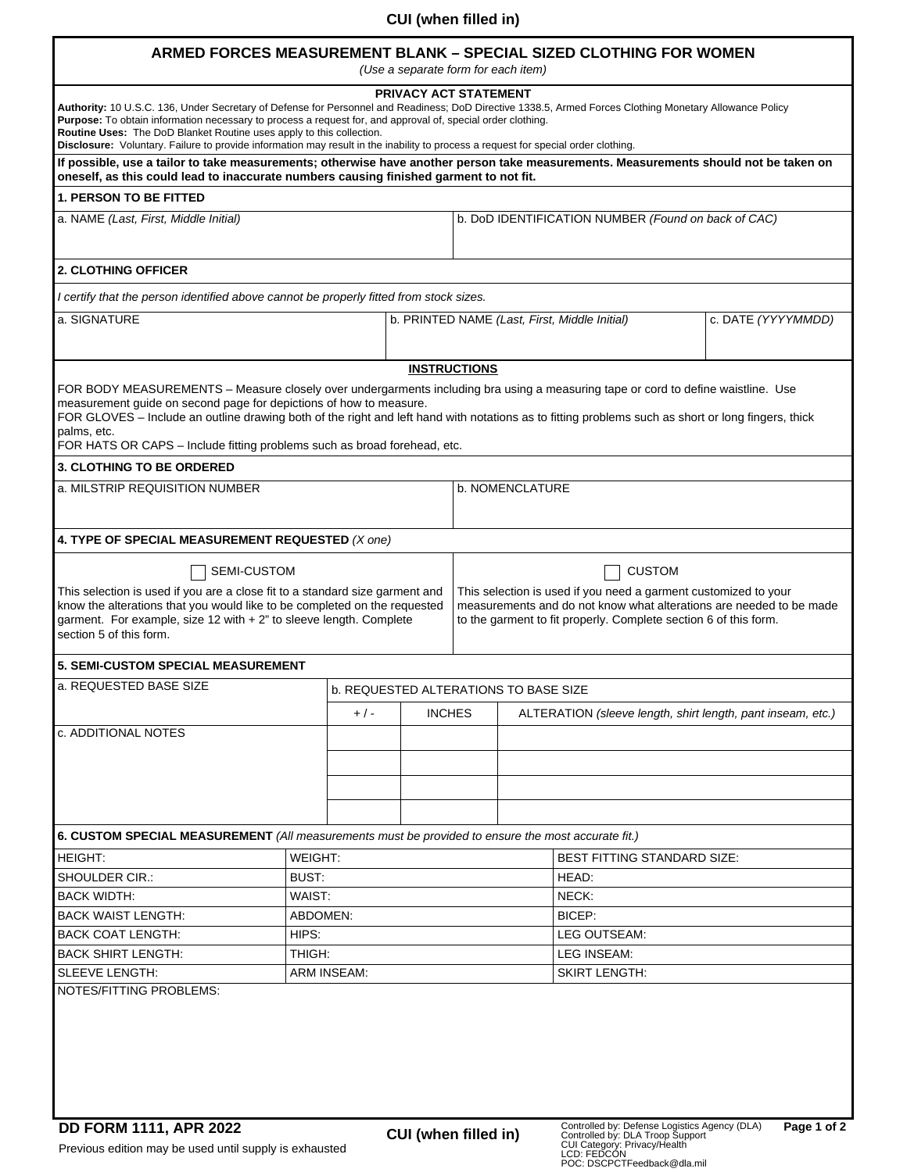## **CUI (when filled in)**

## **ARMED FORCES MEASUREMENT BLANK – SPECIAL SIZED CLOTHING FOR WOMEN**

*(Use a separate form for each item)* 

| PRIVACY ACT STATEMENT<br>Authority: 10 U.S.C. 136, Under Secretary of Defense for Personnel and Readiness; DoD Directive 1338.5, Armed Forces Clothing Monetary Allowance Policy<br><b>Purpose:</b> To obtain information necessary to process a request for, and approval of, special order clothing.<br>Routine Uses: The DoD Blanket Routine uses apply to this collection.<br>Disclosure: Voluntary. Failure to provide information may result in the inability to process a request for special order clothing. |        |                                              |                                               |                                                                                                                                                                                                                             |                                                             |                    |  |  |
|----------------------------------------------------------------------------------------------------------------------------------------------------------------------------------------------------------------------------------------------------------------------------------------------------------------------------------------------------------------------------------------------------------------------------------------------------------------------------------------------------------------------|--------|----------------------------------------------|-----------------------------------------------|-----------------------------------------------------------------------------------------------------------------------------------------------------------------------------------------------------------------------------|-------------------------------------------------------------|--------------------|--|--|
| If possible, use a tailor to take measurements; otherwise have another person take measurements. Measurements should not be taken on<br>oneself, as this could lead to inaccurate numbers causing finished garment to not fit.                                                                                                                                                                                                                                                                                       |        |                                              |                                               |                                                                                                                                                                                                                             |                                                             |                    |  |  |
| <b>1. PERSON TO BE FITTED</b>                                                                                                                                                                                                                                                                                                                                                                                                                                                                                        |        |                                              |                                               |                                                                                                                                                                                                                             |                                                             |                    |  |  |
| a. NAME (Last, First, Middle Initial)                                                                                                                                                                                                                                                                                                                                                                                                                                                                                |        |                                              |                                               |                                                                                                                                                                                                                             | b. DoD IDENTIFICATION NUMBER (Found on back of CAC)         |                    |  |  |
|                                                                                                                                                                                                                                                                                                                                                                                                                                                                                                                      |        |                                              |                                               |                                                                                                                                                                                                                             |                                                             |                    |  |  |
| <b>2. CLOTHING OFFICER</b>                                                                                                                                                                                                                                                                                                                                                                                                                                                                                           |        |                                              |                                               |                                                                                                                                                                                                                             |                                                             |                    |  |  |
| I certify that the person identified above cannot be properly fitted from stock sizes.                                                                                                                                                                                                                                                                                                                                                                                                                               |        |                                              |                                               |                                                                                                                                                                                                                             |                                                             |                    |  |  |
| a. SIGNATURE                                                                                                                                                                                                                                                                                                                                                                                                                                                                                                         |        |                                              | b. PRINTED NAME (Last, First, Middle Initial) |                                                                                                                                                                                                                             |                                                             | c. DATE (YYYYMMDD) |  |  |
| <b>INSTRUCTIONS</b>                                                                                                                                                                                                                                                                                                                                                                                                                                                                                                  |        |                                              |                                               |                                                                                                                                                                                                                             |                                                             |                    |  |  |
| FOR BODY MEASUREMENTS - Measure closely over undergarments including bra using a measuring tape or cord to define waistline. Use<br>measurement guide on second page for depictions of how to measure.<br>FOR GLOVES - Include an outline drawing both of the right and left hand with notations as to fitting problems such as short or long fingers, thick<br>palms, etc.<br>FOR HATS OR CAPS - Include fitting problems such as broad forehead, etc.<br>3. CLOTHING TO BE ORDERED                                 |        |                                              |                                               |                                                                                                                                                                                                                             |                                                             |                    |  |  |
| a. MILSTRIP REQUISITION NUMBER                                                                                                                                                                                                                                                                                                                                                                                                                                                                                       |        |                                              |                                               | b. NOMENCLATURE                                                                                                                                                                                                             |                                                             |                    |  |  |
|                                                                                                                                                                                                                                                                                                                                                                                                                                                                                                                      |        |                                              |                                               |                                                                                                                                                                                                                             |                                                             |                    |  |  |
| 4. TYPE OF SPECIAL MEASUREMENT REQUESTED (X one)                                                                                                                                                                                                                                                                                                                                                                                                                                                                     |        |                                              |                                               |                                                                                                                                                                                                                             |                                                             |                    |  |  |
| <b>SEMI-CUSTOM</b><br>This selection is used if you are a close fit to a standard size garment and<br>know the alterations that you would like to be completed on the requested<br>garment. For example, size 12 with $+ 2$ " to sleeve length. Complete<br>section 5 of this form.                                                                                                                                                                                                                                  |        |                                              |                                               | <b>CUSTOM</b><br>This selection is used if you need a garment customized to your<br>measurements and do not know what alterations are needed to be made<br>to the garment to fit properly. Complete section 6 of this form. |                                                             |                    |  |  |
| <b>5. SEMI-CUSTOM SPECIAL MEASUREMENT</b>                                                                                                                                                                                                                                                                                                                                                                                                                                                                            |        |                                              |                                               |                                                                                                                                                                                                                             |                                                             |                    |  |  |
| a. REQUESTED BASE SIZE                                                                                                                                                                                                                                                                                                                                                                                                                                                                                               |        | <b>b. REQUESTED ALTERATIONS TO BASE SIZE</b> |                                               |                                                                                                                                                                                                                             |                                                             |                    |  |  |
|                                                                                                                                                                                                                                                                                                                                                                                                                                                                                                                      |        | $+/-$                                        | <b>INCHES</b>                                 |                                                                                                                                                                                                                             | ALTERATION (sleeve length, shirt length, pant inseam, etc.) |                    |  |  |
| <b>c. ADDITIONAL NOTES</b>                                                                                                                                                                                                                                                                                                                                                                                                                                                                                           |        |                                              |                                               |                                                                                                                                                                                                                             |                                                             |                    |  |  |
|                                                                                                                                                                                                                                                                                                                                                                                                                                                                                                                      |        |                                              |                                               |                                                                                                                                                                                                                             |                                                             |                    |  |  |
| 6. CUSTOM SPECIAL MEASUREMENT (All measurements must be provided to ensure the most accurate fit.)                                                                                                                                                                                                                                                                                                                                                                                                                   |        |                                              |                                               |                                                                                                                                                                                                                             |                                                             |                    |  |  |
| WEIGHT:<br>HEIGHT:                                                                                                                                                                                                                                                                                                                                                                                                                                                                                                   |        |                                              |                                               |                                                                                                                                                                                                                             | BEST FITTING STANDARD SIZE:                                 |                    |  |  |
| <b>SHOULDER CIR.:</b>                                                                                                                                                                                                                                                                                                                                                                                                                                                                                                | BUST:  |                                              |                                               |                                                                                                                                                                                                                             | HEAD:                                                       |                    |  |  |
| <b>BACK WIDTH:</b>                                                                                                                                                                                                                                                                                                                                                                                                                                                                                                   | WAIST: |                                              |                                               |                                                                                                                                                                                                                             | NECK:                                                       |                    |  |  |
| <b>BACK WAIST LENGTH:</b>                                                                                                                                                                                                                                                                                                                                                                                                                                                                                            |        |                                              |                                               |                                                                                                                                                                                                                             | BICEP:                                                      |                    |  |  |
| <b>BACK COAT LENGTH:</b>                                                                                                                                                                                                                                                                                                                                                                                                                                                                                             |        | ABDOMEN:<br>HIPS:                            |                                               |                                                                                                                                                                                                                             |                                                             | LEG OUTSEAM:       |  |  |
|                                                                                                                                                                                                                                                                                                                                                                                                                                                                                                                      | THIGH: |                                              |                                               |                                                                                                                                                                                                                             |                                                             | LEG INSEAM:        |  |  |
| <b>BACK SHIRT LENGTH:</b>                                                                                                                                                                                                                                                                                                                                                                                                                                                                                            |        |                                              |                                               |                                                                                                                                                                                                                             | <b>SKIRT LENGTH:</b>                                        |                    |  |  |
| <b>SLEEVE LENGTH:</b><br><b>ARM INSEAM:</b>                                                                                                                                                                                                                                                                                                                                                                                                                                                                          |        |                                              |                                               |                                                                                                                                                                                                                             |                                                             |                    |  |  |
| NOTES/FITTING PROBLEMS:                                                                                                                                                                                                                                                                                                                                                                                                                                                                                              |        |                                              |                                               |                                                                                                                                                                                                                             |                                                             |                    |  |  |